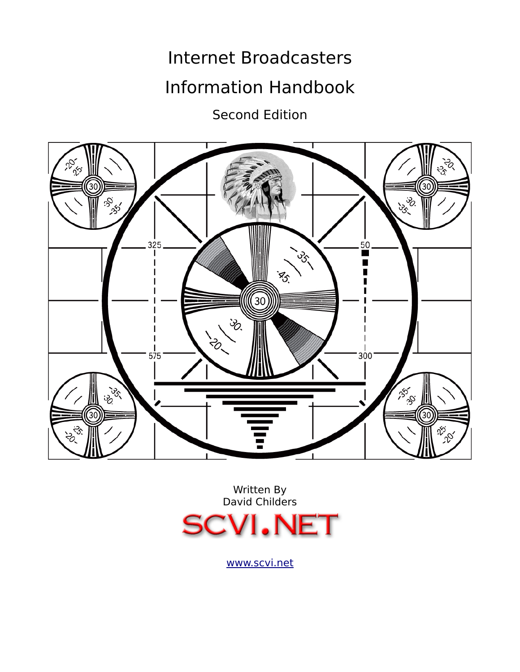# Internet Broadcasters Information Handbook

Second Edition



Written By [David Childers](http://www.scvi.net/) **IVI.NE** 

[www.scvi.net](http://Www.scvi.net/)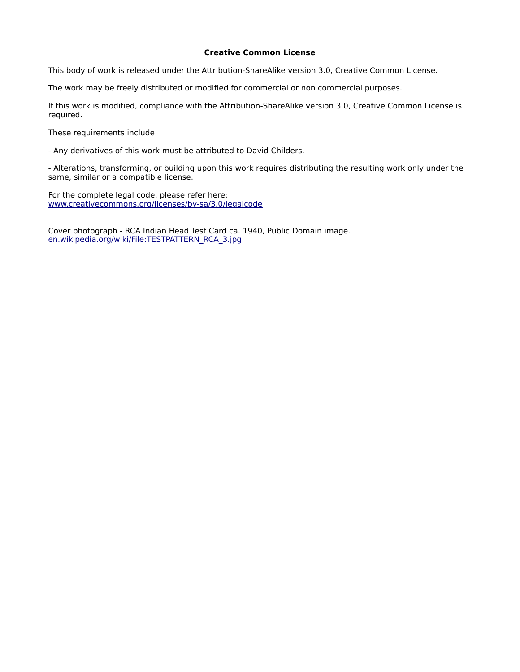# **Creative Common License**

This body of work is released under the Attribution-ShareAlike version 3.0, Creative Common License.

The work may be freely distributed or modified for commercial or non commercial purposes.

If this work is modified, compliance with the Attribution-ShareAlike version 3.0, Creative Common License is required.

These requirements include:

- Any derivatives of this work must be attributed to David Childers.

- Alterations, transforming, or building upon this work requires distributing the resulting work only under the same, similar or a compatible license.

For the complete legal code, please refer here: [www.creativecommons.org/licenses/by-sa/3.0/legalcode](http://www.creativecommons.org/licenses/by-sa/3.0/legalcode)

Cover photograph - RCA Indian Head Test Card ca. 1940, Public Domain image. [en.wikipedia.org/wiki/File:TESTPATTERN\\_RCA\\_3.jpg](http://en.wikipedia.org/wiki/File:TESTPATTERN_RCA_3.jpg)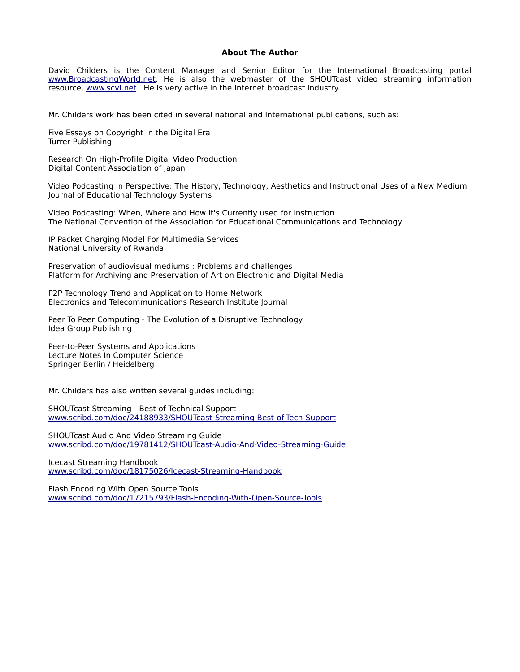## **About The Author**

David Childers is the Content Manager and Senior Editor for the International Broadcasting portal [www.BroadcastingWorld.net.](http://www.BroadcastingWorld.net/) He is also the webmaster of the SHOUTcast video streaming information resource, [www.scvi.net.](http://www.scvi.net/) He is very active in the Internet broadcast industry.

Mr. Childers work has been cited in several national and International publications, such as:

Five Essays on Copyright In the Digital Era Turrer Publishing

Research On High-Profile Digital Video Production Digital Content Association of Japan

Video Podcasting in Perspective: The History, Technology, Aesthetics and Instructional Uses of a New Medium Journal of Educational Technology Systems

Video Podcasting: When, Where and How it's Currently used for Instruction The National Convention of the Association for Educational Communications and Technology

IP Packet Charging Model For Multimedia Services National University of Rwanda

Preservation of audiovisual mediums : Problems and challenges Platform for Archiving and Preservation of Art on Electronic and Digital Media

P2P Technology Trend and Application to Home Network Electronics and Telecommunications Research Institute Journal

Peer To Peer Computing - The Evolution of a Disruptive Technology Idea Group Publishing

Peer-to-Peer Systems and Applications Lecture Notes In Computer Science Springer Berlin / Heidelberg

Mr. Childers has also written several guides including:

SHOUTcast Streaming - Best of Technical Support [www.scribd.com/doc/24188933/SHOUTcast-Streaming-Best-of-Tech-Support](http://www.scribd.com/doc/24188933/SHOUTcast-Streaming-Best-of-Tech-Support)

SHOUTcast Audio And Video Streaming Guide [www.scribd.com/doc/19781412/SHOUTcast-Audio-And-Video-Streaming-Guide](http://www.scribd.com/doc/19781412/SHOUTcast-Audio-And-Video-Streaming-Guide)

Icecast Streaming Handbook [www.scribd.com/doc/18175026/Icecast-Streaming-Handbook](http://www.scribd.com/doc/18175026/Icecast-Streaming-Handbook)

Flash Encoding With Open Source Tools [www.scribd.com/doc/17215793/Flash-Encoding-With-Open-Source-Tools](http://www.scribd.com/doc/17215793/Flash-Encoding-With-Open-Source-Tools)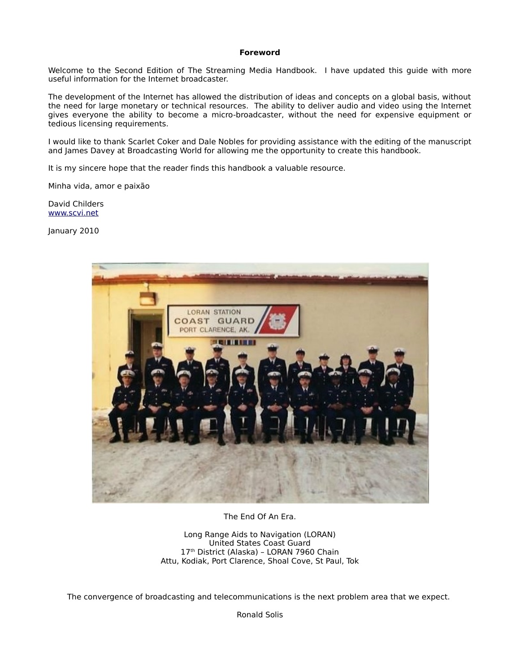#### **Foreword**

Welcome to the Second Edition of The Streaming Media Handbook. I have updated this guide with more useful information for the Internet broadcaster.

The development of the Internet has allowed the distribution of ideas and concepts on a global basis, without the need for large monetary or technical resources. The ability to deliver audio and video using the Internet gives everyone the ability to become a micro-broadcaster, without the need for expensive equipment or tedious licensing requirements.

I would like to thank Scarlet Coker and Dale Nobles for providing assistance with the editing of the manuscript and James Davey at Broadcasting World for allowing me the opportunity to create this handbook.

It is my sincere hope that the reader finds this handbook a valuable resource.

Minha vida, amor e paixão

David Childers [www.scvi.net](http://www.scvi.net/)

January 2010



The End Of An Era.

Long Range Aids to Navigation (LORAN) United States Coast Guard 17<sup>th</sup> District (Alaska) - LORAN 7960 Chain Attu, Kodiak, Port Clarence, Shoal Cove, St Paul, Tok

The convergence of broadcasting and telecommunications is the next problem area that we expect.

Ronald Solis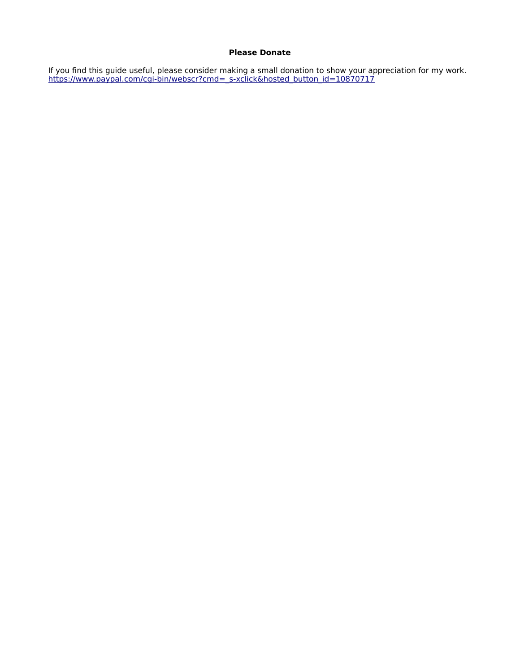# **Please Donate**

If you find this guide useful, please consider making a small donation to show your appreciation for my work. [https://www.paypal.com/cgi-bin/webscr?cmd=\\_s-xclick&hosted\\_button\\_id=10870717](https://www.paypal.com/cgi-bin/webscr?cmd=_s-xclick&hosted_button_id=10870717)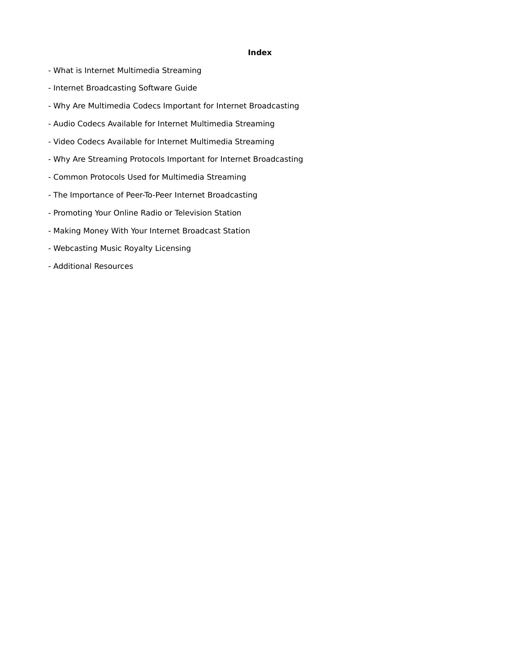# **Index**

- What is Internet Multimedia Streaming
- Internet Broadcasting Software Guide
- Why Are Multimedia Codecs Important for Internet Broadcasting
- Audio Codecs Available for Internet Multimedia Streaming
- Video Codecs Available for Internet Multimedia Streaming
- Why Are Streaming Protocols Important for Internet Broadcasting
- Common Protocols Used for Multimedia Streaming
- The Importance of Peer-To-Peer Internet Broadcasting
- Promoting Your Online Radio or Television Station
- Making Money With Your Internet Broadcast Station
- Webcasting Music Royalty Licensing
- Additional Resources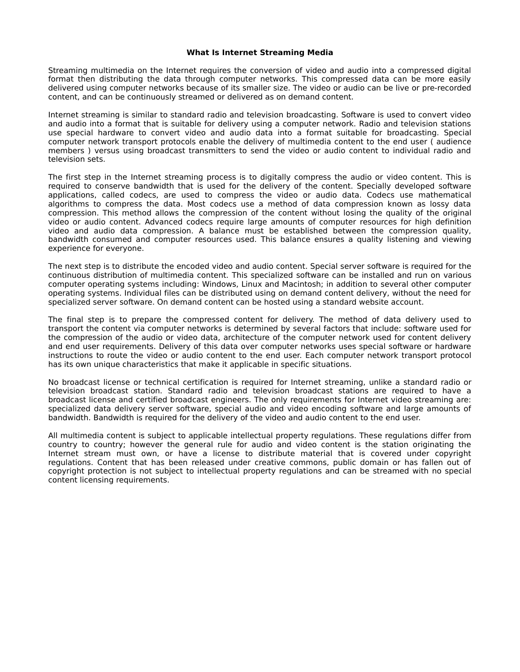#### **What Is Internet Streaming Media**

Streaming multimedia on the Internet requires the conversion of video and audio into a compressed digital format then distributing the data through computer networks. This compressed data can be more easily delivered using computer networks because of its smaller size. The video or audio can be live or pre-recorded content, and can be continuously streamed or delivered as on demand content.

Internet streaming is similar to standard radio and television broadcasting. Software is used to convert video and audio into a format that is suitable for delivery using a computer network. Radio and television stations use special hardware to convert video and audio data into a format suitable for broadcasting. Special computer network transport protocols enable the delivery of multimedia content to the end user ( audience members ) versus using broadcast transmitters to send the video or audio content to individual radio and television sets.

The first step in the Internet streaming process is to digitally compress the audio or video content. This is required to conserve bandwidth that is used for the delivery of the content. Specially developed software applications, called codecs, are used to compress the video or audio data. Codecs use mathematical algorithms to compress the data. Most codecs use a method of data compression known as lossy data compression. This method allows the compression of the content without losing the quality of the original video or audio content. Advanced codecs require large amounts of computer resources for high definition video and audio data compression. A balance must be established between the compression quality, bandwidth consumed and computer resources used. This balance ensures a quality listening and viewing experience for everyone.

The next step is to distribute the encoded video and audio content. Special server software is required for the continuous distribution of multimedia content. This specialized software can be installed and run on various computer operating systems including: Windows, Linux and Macintosh; in addition to several other computer operating systems. Individual files can be distributed using on demand content delivery, without the need for specialized server software. On demand content can be hosted using a standard website account.

The final step is to prepare the compressed content for delivery. The method of data delivery used to transport the content via computer networks is determined by several factors that include: software used for the compression of the audio or video data, architecture of the computer network used for content delivery and end user requirements. Delivery of this data over computer networks uses special software or hardware instructions to route the video or audio content to the end user. Each computer network transport protocol has its own unique characteristics that make it applicable in specific situations.

No broadcast license or technical certification is required for Internet streaming, unlike a standard radio or television broadcast station. Standard radio and television broadcast stations are required to have a broadcast license and certified broadcast engineers. The only requirements for Internet video streaming are: specialized data delivery server software, special audio and video encoding software and large amounts of bandwidth. Bandwidth is required for the delivery of the video and audio content to the end user.

All multimedia content is subject to applicable intellectual property regulations. These regulations differ from country to country; however the general rule for audio and video content is the station originating the Internet stream must own, or have a license to distribute material that is covered under copyright regulations. Content that has been released under creative commons, public domain or has fallen out of copyright protection is not subject to intellectual property regulations and can be streamed with no special content licensing requirements.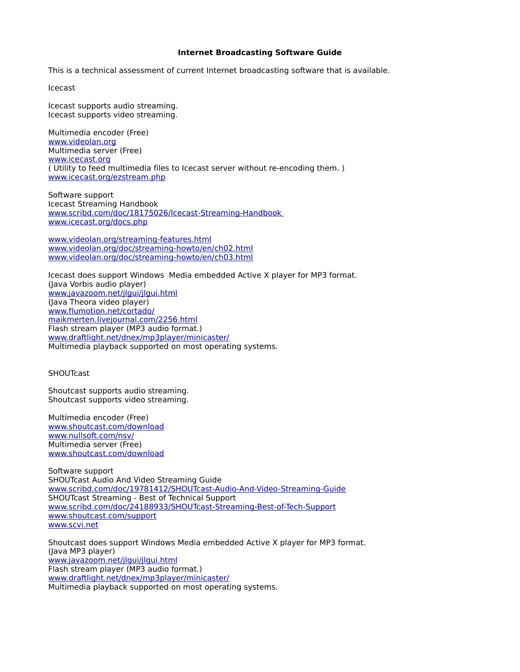## **Internet Broadcasting Software Guide**

This is a technical assessment of current Internet broadcasting software that is available.

Icecast

Icecast supports audio streaming. Icecast supports video streaming.

Multimedia encoder (Free) [www.videolan.org](http://www.videolan.org/) Multimedia server (Free) [www.icecast.org](http://www.icecast.org/) ( Utility to feed multimedia files to Icecast server without re-encoding them. ) [www.icecast.org/ezstream.php](http://www.icecast.org/ezstream.php)

Software support Icecast Streaming Handbook  [www.scribd.com/doc/18175026/Icecast-Streaming-Handbook](http://www.scribd.com/doc/18175026/Icecast-Streaming-Handbook) [www.icecast.org/docs.php](http://www.icecast.org/docs.php)

[www.videolan.org/streaming-features.html](http://www.videolan.org/streaming-features.html) [www.videolan.org/doc/streaming-howto/en/ch02.html](http://www.videolan.org/doc/streaming-howto/en/ch02.html) [www.videolan.org/doc/streaming-howto/en/ch03.html](http://www.videolan.org/doc/streaming-howto/en/ch03.html)

Icecast does support Windows Media embedded Active X player for MP3 format. (Java Vorbis audio player) [www.javazoom.net/jlgui/jlgui.html](http://www.javazoom.net/jlgui/jlgui.html) (Java Theora video player) [www.flumotion.net/cortado/](http://www.flumotion.net/cortado/) [maikmerten.livejournal.com/2256.html](http://maikmerten.livejournal.com/2256.html) Flash stream player (MP3 audio format.) [www.draftlight.net/dnex/mp3player/minicaster/](http://www.draftlight.net/dnex/mp3player/minicaster/) Multimedia playback supported on most operating systems.

# **SHOUTcast**

Shoutcast supports audio streaming. Shoutcast supports video streaming.

Multimedia encoder (Free) [www.shoutcast.com/download](http://www.shoutcast.com/download) [www.nullsoft.com/nsv/](http://www.nullsoft.com/nsv/) Multimedia server (Free) [www.shoutcast.com/download](http://www.shoutcast.com/download)

Software support SHOUTcast Audio And Video Streaming Guide [www.scribd.com/doc/19781412/SHOUTcast-Audio-And-Video-Streaming-Guide](http://www.scribd.com/doc/19781412/SHOUTcast-Audio-And-Video-Streaming-Guide) SHOUTcast Streaming - Best of Technical Support [www.scribd.com/doc/24188933/SHOUTcast-Streaming-Best-of-Tech-Support](http://www.scribd.com/doc/24188933/SHOUTcast-Streaming-Best-of-Tech-Support) [www.shoutcast.com/support](http://www.shoutcast.com/support) [www.scvi.net](http://www.scvi.net/)

Shoutcast does support Windows Media embedded Active X player for MP3 format. (Java MP3 player) [www.javazoom.net/jlgui/jlgui.html](http://www.javazoom.net/jlgui/jlgui.html) Flash stream player (MP3 audio format.) [www.draftlight.net/dnex/mp3player/minicaster/](http://www.draftlight.net/dnex/mp3player/minicaster/) Multimedia playback supported on most operating systems.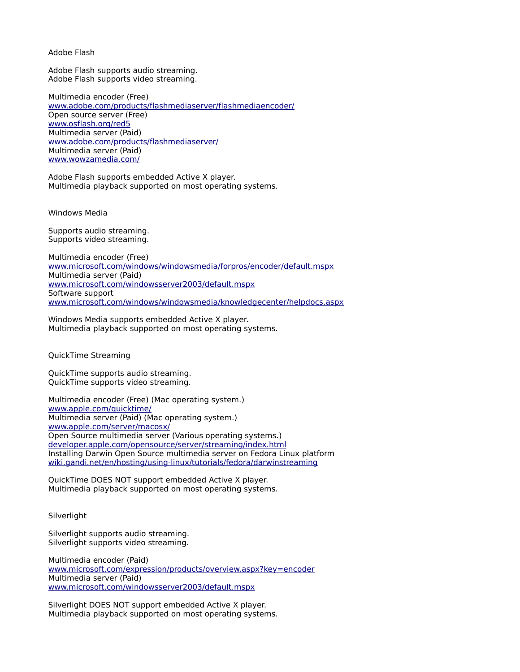Adobe Flash

Adobe Flash supports audio streaming. Adobe Flash supports video streaming.

Multimedia encoder (Free) [www.adobe.com/products/flashmediaserver/flashmediaencoder/](http://www.adobe.com/products/flashmediaserver/flashmediaencoder/) Open source server (Free) [www.osflash.org/red5](http://www.osflash.org/red5) Multimedia server (Paid) [www.adobe.com/products/flashmediaserver/](http://www.adobe.com/products/flashmediaserver/) Multimedia server (Paid) [www.wowzamedia.com/](http://www.wowzamedia.com/)

Adobe Flash supports embedded Active X player. Multimedia playback supported on most operating systems.

Windows Media

Supports audio streaming. Supports video streaming.

Multimedia encoder (Free) [www.microsoft.com/windows/windowsmedia/forpros/encoder/default.mspx](http://www.microsoft.com/windows/windowsmedia/forpros/encoder/default.mspx) Multimedia server (Paid) [www.microsoft.com/windowsserver2003/default.mspx](http://www.microsoft.com/windowsserver2003/default.mspx) Software support [www.microsoft.com/windows/windowsmedia/knowledgecenter/helpdocs.aspx](http://www.microsoft.com/windows/windowsmedia/knowledgecenter/helpdocs.aspx)

Windows Media supports embedded Active X player. Multimedia playback supported on most operating systems.

QuickTime Streaming

QuickTime supports audio streaming. QuickTime supports video streaming.

Multimedia encoder (Free) (Mac operating system.) [www.apple.com/quicktime/](http://www.apple.com/quicktime/) Multimedia server (Paid) (Mac operating system.) [www.apple.com/server/macosx/](http://www.apple.com/server/macosx/) Open Source multimedia server (Various operating systems.) [developer.apple.com/opensource/server/streaming/index.html](http://developer.apple.com/opensource/server/streaming/index.html) Installing Darwin Open Source multimedia server on Fedora Linux platform [wiki.gandi.net/en/hosting/using-linux/tutorials/fedora/darwinstreaming](http://wiki.gandi.net/en/hosting/using-linux/tutorials/fedora/darwinstreaming)

QuickTime DOES NOT support embedded Active X player. Multimedia playback supported on most operating systems.

**Silverlight** 

Silverlight supports audio streaming. Silverlight supports video streaming.

Multimedia encoder (Paid) [www.microsoft.com/expression/products/overview.aspx?key=encoder](http://www.microsoft.com/expression/products/overview.aspx?key=encoder) Multimedia server (Paid) [www.microsoft.com/windowsserver2003/default.mspx](http://www.microsoft.com/windowsserver2003/default.mspx)

Silverlight DOES NOT support embedded Active X player. Multimedia playback supported on most operating systems.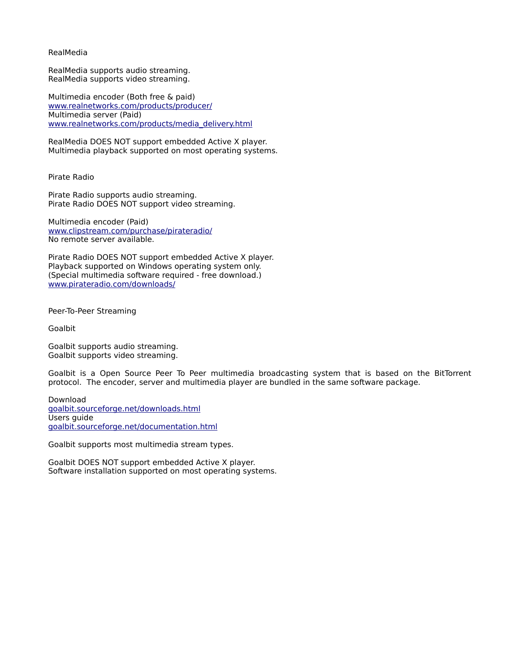RealMedia

RealMedia supports audio streaming. RealMedia supports video streaming.

Multimedia encoder (Both free & paid) [www.realnetworks.com/products/producer/](http://www.realnetworks.com/products/producer/) Multimedia server (Paid) [www.realnetworks.com/products/media\\_delivery.html](http://www.realnetworks.com/products/media_delivery.html)

RealMedia DOES NOT support embedded Active X player. Multimedia playback supported on most operating systems.

Pirate Radio

Pirate Radio supports audio streaming. Pirate Radio DOES NOT support video streaming.

Multimedia encoder (Paid) [www.clipstream.com/purchase/pirateradio/](http://www.clipstream.com/purchase/pirateradio/) No remote server available.

Pirate Radio DOES NOT support embedded Active X player. Playback supported on Windows operating system only. (Special multimedia software required - free download.) [www.pirateradio.com/downloads/](http://www.pirateradio.com/downloads/)

Peer-To-Peer Streaming

Goalbit

Goalbit supports audio streaming. Goalbit supports video streaming.

Goalbit is a Open Source Peer To Peer multimedia broadcasting system that is based on the BitTorrent protocol. The encoder, server and multimedia player are bundled in the same software package.

Download [goalbit.sourceforge.net/downloads.html](http://goalbit.sourceforge.net/downloads.html) Users guide [goalbit.sourceforge.net/documentation.html](http://goalbit.sourceforge.net/documentation.html)

Goalbit supports most multimedia stream types.

Goalbit DOES NOT support embedded Active X player. Software installation supported on most operating systems.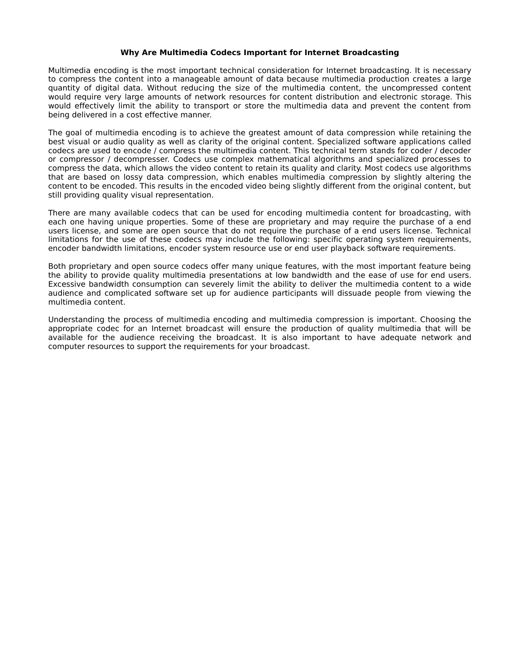#### **Why Are Multimedia Codecs Important for Internet Broadcasting**

Multimedia encoding is the most important technical consideration for Internet broadcasting. It is necessary to compress the content into a manageable amount of data because multimedia production creates a large quantity of digital data. Without reducing the size of the multimedia content, the uncompressed content would require very large amounts of network resources for content distribution and electronic storage. This would effectively limit the ability to transport or store the multimedia data and prevent the content from being delivered in a cost effective manner.

The goal of multimedia encoding is to achieve the greatest amount of data compression while retaining the best visual or audio quality as well as clarity of the original content. Specialized software applications called codecs are used to encode / compress the multimedia content. This technical term stands for coder / decoder or compressor / decompresser. Codecs use complex mathematical algorithms and specialized processes to compress the data, which allows the video content to retain its quality and clarity. Most codecs use algorithms that are based on lossy data compression, which enables multimedia compression by slightly altering the content to be encoded. This results in the encoded video being slightly different from the original content, but still providing quality visual representation.

There are many available codecs that can be used for encoding multimedia content for broadcasting, with each one having unique properties. Some of these are proprietary and may require the purchase of a end users license, and some are open source that do not require the purchase of a end users license. Technical limitations for the use of these codecs may include the following: specific operating system requirements, encoder bandwidth limitations, encoder system resource use or end user playback software requirements.

Both proprietary and open source codecs offer many unique features, with the most important feature being the ability to provide quality multimedia presentations at low bandwidth and the ease of use for end users. Excessive bandwidth consumption can severely limit the ability to deliver the multimedia content to a wide audience and complicated software set up for audience participants will dissuade people from viewing the multimedia content.

Understanding the process of multimedia encoding and multimedia compression is important. Choosing the appropriate codec for an Internet broadcast will ensure the production of quality multimedia that will be available for the audience receiving the broadcast. It is also important to have adequate network and computer resources to support the requirements for your broadcast.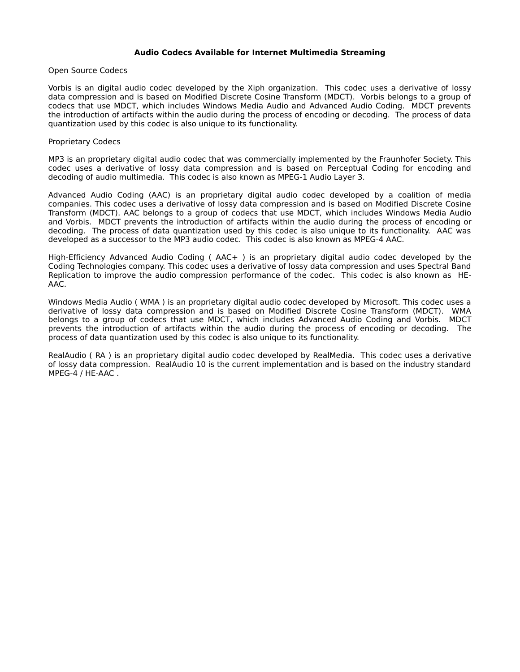### **Audio Codecs Available for Internet Multimedia Streaming**

### Open Source Codecs

Vorbis is an digital audio codec developed by the Xiph organization. This codec uses a derivative of lossy data compression and is based on Modified Discrete Cosine Transform (MDCT). Vorbis belongs to a group of codecs that use MDCT, which includes Windows Media Audio and Advanced Audio Coding. MDCT prevents the introduction of artifacts within the audio during the process of encoding or decoding. The process of data quantization used by this codec is also unique to its functionality.

## Proprietary Codecs

MP3 is an proprietary digital audio codec that was commercially implemented by the Fraunhofer Society. This codec uses a derivative of lossy data compression and is based on Perceptual Coding for encoding and decoding of audio multimedia. This codec is also known as MPEG-1 Audio Layer 3.

Advanced Audio Coding (AAC) is an proprietary digital audio codec developed by a coalition of media companies. This codec uses a derivative of lossy data compression and is based on Modified Discrete Cosine Transform (MDCT). AAC belongs to a group of codecs that use MDCT, which includes Windows Media Audio and Vorbis. MDCT prevents the introduction of artifacts within the audio during the process of encoding or decoding. The process of data quantization used by this codec is also unique to its functionality. AAC was developed as a successor to the MP3 audio codec. This codec is also known as MPEG-4 AAC.

High-Efficiency Advanced Audio Coding ( AAC+ ) is an proprietary digital audio codec developed by the Coding Technologies company. This codec uses a derivative of lossy data compression and uses Spectral Band Replication to improve the audio compression performance of the codec. This codec is also known as HE-AAC.

Windows Media Audio ( WMA ) is an proprietary digital audio codec developed by Microsoft. This codec uses a derivative of lossy data compression and is based on Modified Discrete Cosine Transform (MDCT). WMA belongs to a group of codecs that use MDCT, which includes Advanced Audio Coding and Vorbis. MDCT prevents the introduction of artifacts within the audio during the process of encoding or decoding. The process of data quantization used by this codec is also unique to its functionality.

RealAudio ( RA ) is an proprietary digital audio codec developed by RealMedia. This codec uses a derivative of lossy data compression. RealAudio 10 is the current implementation and is based on the industry standard MPEG-4 / HE-AAC .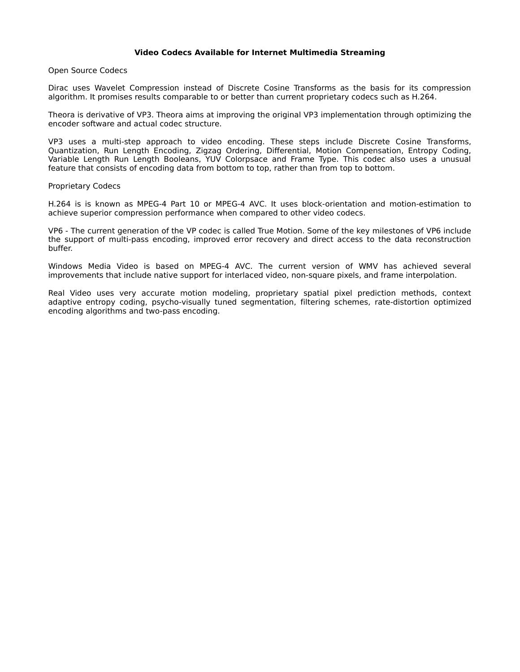### **Video Codecs Available for Internet Multimedia Streaming**

Open Source Codecs

Dirac uses Wavelet Compression instead of Discrete Cosine Transforms as the basis for its compression algorithm. It promises results comparable to or better than current proprietary codecs such as H.264.

Theora is derivative of VP3. Theora aims at improving the original VP3 implementation through optimizing the encoder software and actual codec structure.

VP3 uses a multi-step approach to video encoding. These steps include Discrete Cosine Transforms, Quantization, Run Length Encoding, Zigzag Ordering, Differential, Motion Compensation, Entropy Coding, Variable Length Run Length Booleans, YUV Colorpsace and Frame Type. This codec also uses a unusual feature that consists of encoding data from bottom to top, rather than from top to bottom.

#### Proprietary Codecs

H.264 is is known as MPEG-4 Part 10 or MPEG-4 AVC. It uses block-orientation and motion-estimation to achieve superior compression performance when compared to other video codecs.

VP6 - The current generation of the VP codec is called True Motion. Some of the key milestones of VP6 include the support of multi-pass encoding, improved error recovery and direct access to the data reconstruction buffer.

Windows Media Video is based on MPEG-4 AVC. The current version of WMV has achieved several improvements that include native support for interlaced video, non-square pixels, and frame interpolation.

Real Video uses very accurate motion modeling, proprietary spatial pixel prediction methods, context adaptive entropy coding, psycho-visually tuned segmentation, filtering schemes, rate-distortion optimized encoding algorithms and two-pass encoding.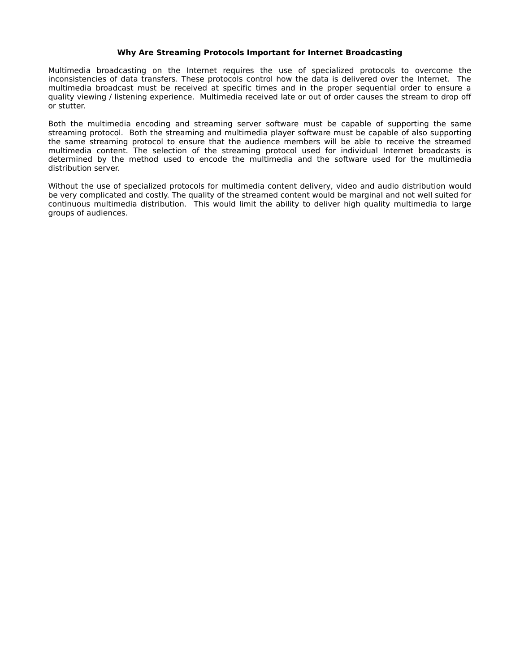#### **Why Are Streaming Protocols Important for Internet Broadcasting**

Multimedia broadcasting on the Internet requires the use of specialized protocols to overcome the inconsistencies of data transfers. These protocols control how the data is delivered over the Internet. The multimedia broadcast must be received at specific times and in the proper sequential order to ensure a quality viewing / listening experience. Multimedia received late or out of order causes the stream to drop off or stutter.

Both the multimedia encoding and streaming server software must be capable of supporting the same streaming protocol. Both the streaming and multimedia player software must be capable of also supporting the same streaming protocol to ensure that the audience members will be able to receive the streamed multimedia content. The selection of the streaming protocol used for individual Internet broadcasts is determined by the method used to encode the multimedia and the software used for the multimedia distribution server.

Without the use of specialized protocols for multimedia content delivery, video and audio distribution would be very complicated and costly. The quality of the streamed content would be marginal and not well suited for continuous multimedia distribution. This would limit the ability to deliver high quality multimedia to large groups of audiences.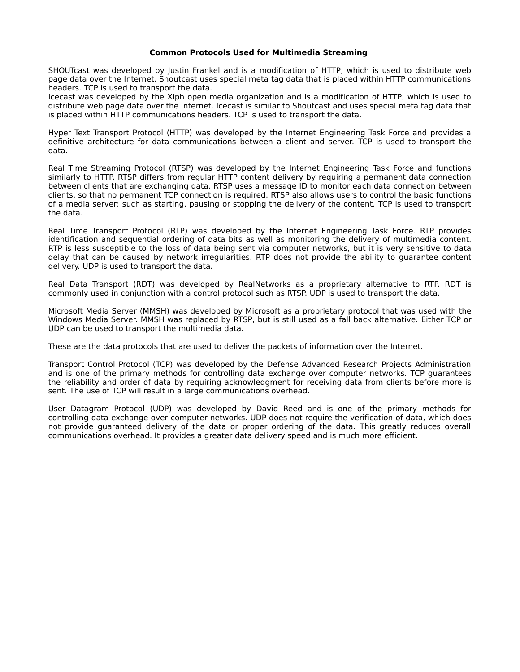#### **Common Protocols Used for Multimedia Streaming**

SHOUTcast was developed by Justin Frankel and is a modification of HTTP, which is used to distribute web page data over the Internet. Shoutcast uses special meta tag data that is placed within HTTP communications headers. TCP is used to transport the data.

Icecast was developed by the Xiph open media organization and is a modification of HTTP, which is used to distribute web page data over the Internet. Icecast is similar to Shoutcast and uses special meta tag data that is placed within HTTP communications headers. TCP is used to transport the data.

Hyper Text Transport Protocol (HTTP) was developed by the Internet Engineering Task Force and provides a definitive architecture for data communications between a client and server. TCP is used to transport the data.

Real Time Streaming Protocol (RTSP) was developed by the Internet Engineering Task Force and functions similarly to HTTP. RTSP differs from regular HTTP content delivery by requiring a permanent data connection between clients that are exchanging data. RTSP uses a message ID to monitor each data connection between clients, so that no permanent TCP connection is required. RTSP also allows users to control the basic functions of a media server; such as starting, pausing or stopping the delivery of the content. TCP is used to transport the data.

Real Time Transport Protocol (RTP) was developed by the Internet Engineering Task Force. RTP provides identification and sequential ordering of data bits as well as monitoring the delivery of multimedia content. RTP is less susceptible to the loss of data being sent via computer networks, but it is very sensitive to data delay that can be caused by network irregularities. RTP does not provide the ability to guarantee content delivery. UDP is used to transport the data.

Real Data Transport (RDT) was developed by RealNetworks as a proprietary alternative to RTP. RDT is commonly used in conjunction with a control protocol such as RTSP. UDP is used to transport the data.

Microsoft Media Server (MMSH) was developed by Microsoft as a proprietary protocol that was used with the Windows Media Server. MMSH was replaced by RTSP, but is still used as a fall back alternative. Either TCP or UDP can be used to transport the multimedia data.

These are the data protocols that are used to deliver the packets of information over the Internet.

Transport Control Protocol (TCP) was developed by the Defense Advanced Research Projects Administration and is one of the primary methods for controlling data exchange over computer networks. TCP guarantees the reliability and order of data by requiring acknowledgment for receiving data from clients before more is sent. The use of TCP will result in a large communications overhead.

User Datagram Protocol (UDP) was developed by David Reed and is one of the primary methods for controlling data exchange over computer networks. UDP does not require the verification of data, which does not provide guaranteed delivery of the data or proper ordering of the data. This greatly reduces overall communications overhead. It provides a greater data delivery speed and is much more efficient.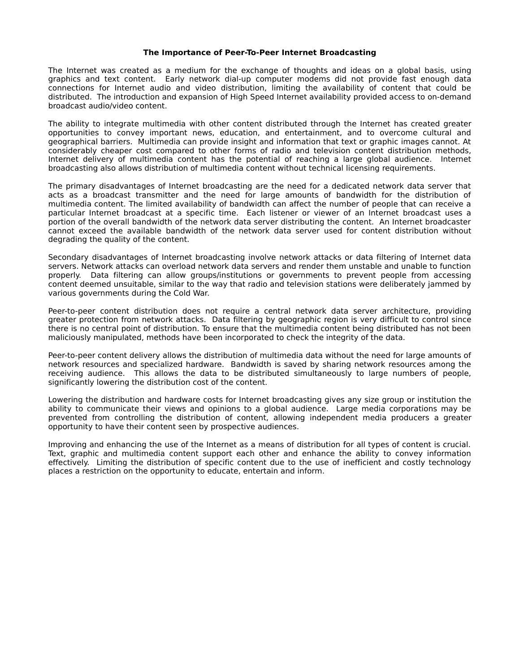#### **The Importance of Peer-To-Peer Internet Broadcasting**

The Internet was created as a medium for the exchange of thoughts and ideas on a global basis, using graphics and text content. Early network dial-up computer modems did not provide fast enough data connections for Internet audio and video distribution, limiting the availability of content that could be distributed. The introduction and expansion of High Speed Internet availability provided access to on-demand broadcast audio/video content.

The ability to integrate multimedia with other content distributed through the Internet has created greater opportunities to convey important news, education, and entertainment, and to overcome cultural and geographical barriers. Multimedia can provide insight and information that text or graphic images cannot. At considerably cheaper cost compared to other forms of radio and television content distribution methods, Internet delivery of multimedia content has the potential of reaching a large global audience. Internet broadcasting also allows distribution of multimedia content without technical licensing requirements.

The primary disadvantages of Internet broadcasting are the need for a dedicated network data server that acts as a broadcast transmitter and the need for large amounts of bandwidth for the distribution of multimedia content. The limited availability of bandwidth can affect the number of people that can receive a particular Internet broadcast at a specific time. Each listener or viewer of an Internet broadcast uses a portion of the overall bandwidth of the network data server distributing the content. An Internet broadcaster cannot exceed the available bandwidth of the network data server used for content distribution without degrading the quality of the content.

Secondary disadvantages of Internet broadcasting involve network attacks or data filtering of Internet data servers. Network attacks can overload network data servers and render them unstable and unable to function properly. Data filtering can allow groups/institutions or governments to prevent people from accessing content deemed unsuitable, similar to the way that radio and television stations were deliberately jammed by various governments during the Cold War.

Peer-to-peer content distribution does not require a central network data server architecture, providing greater protection from network attacks. Data filtering by geographic region is very difficult to control since there is no central point of distribution. To ensure that the multimedia content being distributed has not been maliciously manipulated, methods have been incorporated to check the integrity of the data.

Peer-to-peer content delivery allows the distribution of multimedia data without the need for large amounts of network resources and specialized hardware. Bandwidth is saved by sharing network resources among the receiving audience. This allows the data to be distributed simultaneously to large numbers of people, significantly lowering the distribution cost of the content.

Lowering the distribution and hardware costs for Internet broadcasting gives any size group or institution the ability to communicate their views and opinions to a global audience. Large media corporations may be prevented from controlling the distribution of content, allowing independent media producers a greater opportunity to have their content seen by prospective audiences.

Improving and enhancing the use of the Internet as a means of distribution for all types of content is crucial. Text, graphic and multimedia content support each other and enhance the ability to convey information effectively. Limiting the distribution of specific content due to the use of inefficient and costly technology places a restriction on the opportunity to educate, entertain and inform.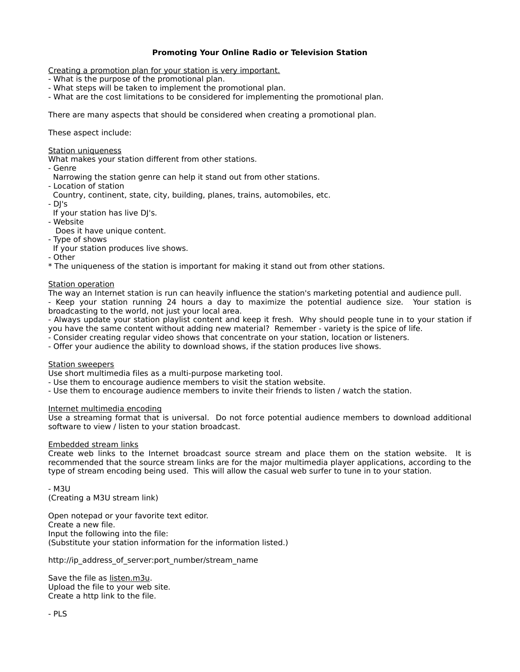# **Promoting Your Online Radio or Television Station**

Creating a promotion plan for your station is very important.

- What is the purpose of the promotional plan.
- What steps will be taken to implement the promotional plan.

- What are the cost limitations to be considered for implementing the promotional plan.

There are many aspects that should be considered when creating a promotional plan.

These aspect include:

#### Station uniqueness

What makes your station different from other stations.

- Genre
- Narrowing the station genre can help it stand out from other stations.
- Location of station
- Country, continent, state, city, building, planes, trains, automobiles, etc.
- DJ's
- If your station has live DJ's.
- Website

Does it have unique content.

- Type of shows

If your station produces live shows.

- Other

\* The uniqueness of the station is important for making it stand out from other stations.

#### Station operation

The way an Internet station is run can heavily influence the station's marketing potential and audience pull. - Keep your station running 24 hours a day to maximize the potential audience size. Your station is broadcasting to the world, not just your local area.

- Always update your station playlist content and keep it fresh. Why should people tune in to your station if you have the same content without adding new material? Remember - variety is the spice of life.

- Consider creating regular video shows that concentrate on your station, location or listeners.

- Offer your audience the ability to download shows, if the station produces live shows.

#### Station sweepers

Use short multimedia files as a multi-purpose marketing tool.

- Use them to encourage audience members to visit the station website.
- Use them to encourage audience members to invite their friends to listen / watch the station.

#### Internet multimedia encoding

Use a streaming format that is universal. Do not force potential audience members to download additional software to view / listen to your station broadcast.

#### Embedded stream links

Create web links to the Internet broadcast source stream and place them on the station website. It is recommended that the source stream links are for the major multimedia player applications, according to the type of stream encoding being used. This will allow the casual web surfer to tune in to your station.

- M3U (Creating a M3U stream link)

Open notepad or your favorite text editor. Create a new file. Input the following into the file: (Substitute your station information for the information listed.)

http://ip\_address\_of\_server:port\_number/stream\_name

Save the file as listen.m3u. Upload the file to your web site. Create a http link to the file.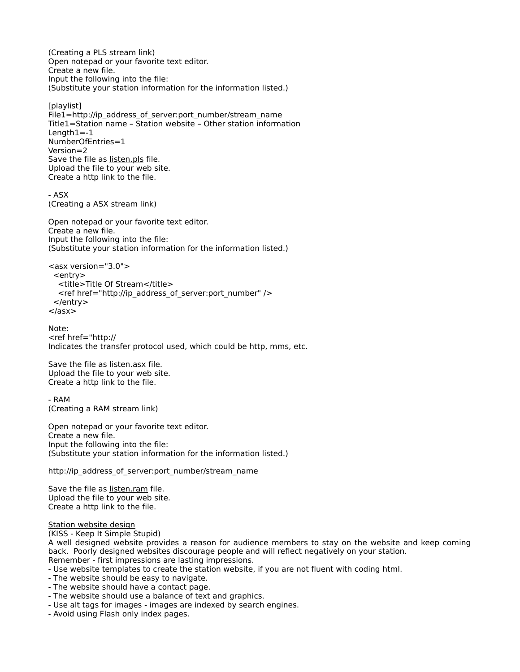(Creating a PLS stream link) Open notepad or your favorite text editor. Create a new file. Input the following into the file: (Substitute your station information for the information listed.) [playlist] File1=http://ip\_address\_of\_server:port\_number/stream\_name Title1=Station name – Station website – Other station information  $Lenath1=-1$ NumberOfEntries=1 Version=2 Save the file as listen.pls file. Upload the file to your web site. Create a http link to the file. - ASX (Creating a ASX stream link) Open notepad or your favorite text editor. Create a new file. Input the following into the file: (Substitute your station information for the information listed.)  $<$ asx version="3.0"> <entry> <title>Title Of Stream</title> <ref href="http://ip\_address\_of\_server:port\_number" /> </entry>  $<$ /asx $>$ Note: <ref href="http:// Indicates the transfer protocol used, which could be http, mms, etc. Save the file as listen.asx file. Upload the file to your web site. Create a http link to the file. - RAM (Creating a RAM stream link) Open notepad or your favorite text editor. Create a new file. Input the following into the file: (Substitute your station information for the information listed.) http://ip\_address\_of\_server:port\_number/stream\_name Save the file as listen.ram file. Upload the file to your web site. Create a http link to the file. Station website design (KISS - Keep It Simple Stupid) A well designed website provides a reason for audience members to stay on the website and keep coming back. Poorly designed websites discourage people and will reflect negatively on your station. Remember - first impressions are lasting impressions. - Use website templates to create the station website, if you are not fluent with coding html. - The website should be easy to navigate. - The website should have a contact page. - The website should use a balance of text and graphics. - Use alt tags for images - images are indexed by search engines. - Avoid using Flash only index pages.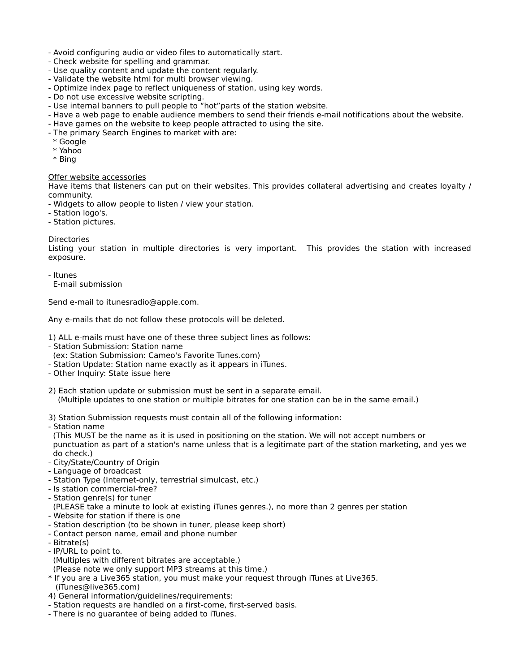- Avoid configuring audio or video files to automatically start.
- Check website for spelling and grammar.
- Use quality content and update the content regularly.
- Validate the website html for multi browser viewing.
- Optimize index page to reflect uniqueness of station, using key words.
- Do not use excessive website scripting.
- Use internal banners to pull people to "hot"parts of the station website.
- Have a web page to enable audience members to send their friends e-mail notifications about the website.
- Have games on the website to keep people attracted to using the site.
- The primary Search Engines to market with are:
- \* Google
- \* Yahoo
- \* Bing

# Offer website accessories

Have items that listeners can put on their websites. This provides collateral advertising and creates loyalty / community.

- Widgets to allow people to listen / view your station.

- Station logo's.
- Station pictures.

# **Directories**

Listing your station in multiple directories is very important. This provides the station with increased exposure.

- Itunes

E-mail submission

Send e-mail to itunesradio@apple.com.

Any e-mails that do not follow these protocols will be deleted.

- 1) ALL e-mails must have one of these three subject lines as follows:
- Station Submission: Station name
- (ex: Station Submission: Cameo's Favorite Tunes.com)
- Station Update: Station name exactly as it appears in iTunes.
- Other Inquiry: State issue here
- 2) Each station update or submission must be sent in a separate email. (Multiple updates to one station or multiple bitrates for one station can be in the same email.)
- 3) Station Submission requests must contain all of the following information:
- Station name
- (This MUST be the name as it is used in positioning on the station. We will not accept numbers or punctuation as part of a station's name unless that is a legitimate part of the station marketing, and yes we do check.)
- City/State/Country of Origin
- Language of broadcast
- Station Type (Internet-only, terrestrial simulcast, etc.)
- Is station commercial-free?
- Station genre(s) for tuner

(PLEASE take a minute to look at existing iTunes genres.), no more than 2 genres per station

- Website for station if there is one
- Station description (to be shown in tuner, please keep short)
- Contact person name, email and phone number
- Bitrate(s)
- IP/URL to point to.
- (Multiples with different bitrates are acceptable.)
- (Please note we only support MP3 streams at this time.)
- \* If you are a Live365 station, you must make your request through iTunes at Live365. (iTunes@live365.com)
- 4) General information/guidelines/requirements:
- Station requests are handled on a first-come, first-served basis.
- There is no guarantee of being added to iTunes.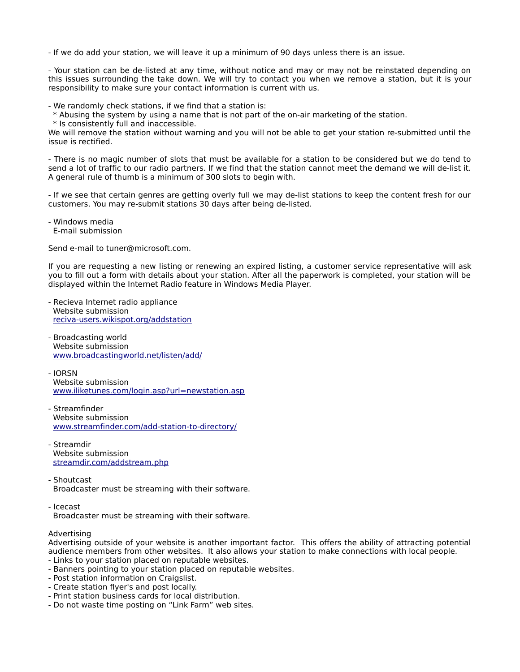- If we do add your station, we will leave it up a minimum of 90 days unless there is an issue.

- Your station can be de-listed at any time, without notice and may or may not be reinstated depending on this issues surrounding the take down. We will try to contact you when we remove a station, but it is your responsibility to make sure your contact information is current with us.

- We randomly check stations, if we find that a station is:

\* Abusing the system by using a name that is not part of the on-air marketing of the station.

\* Is consistently full and inaccessible.

We will remove the station without warning and you will not be able to get your station re-submitted until the issue is rectified.

- There is no magic number of slots that must be available for a station to be considered but we do tend to send a lot of traffic to our radio partners. If we find that the station cannot meet the demand we will de-list it. A general rule of thumb is a minimum of 300 slots to begin with.

- If we see that certain genres are getting overly full we may de-list stations to keep the content fresh for our customers. You may re-submit stations 30 days after being de-listed.

- Windows media E-mail submission

Send e-mail to tuner@microsoft.com.

If you are requesting a new listing or renewing an expired listing, a customer service representative will ask you to fill out a form with details about your station. After all the paperwork is completed, your station will be displayed within the Internet Radio feature in Windows Media Player.

- Recieva Internet radio appliance Website submission [reciva-users.wikispot.org/addstation](http://reciva-users.wikispot.org/addstation)
- Broadcasting world Website submission [www.broadcastingworld.net/listen/add/](http://www.broadcastingworld.net/listen/add/)
- IORSN Website submission [www.iliketunes.com/login.asp?url=newstation.asp](http://www.iliketunes.com/login.asp?url=newstation.asp)
- Streamfinder Website submission [www.streamfinder.com/add-station-to-directory/](http://www.streamfinder.com/add-station-to-directory/)
- Streamdir Website submission [streamdir.com/addstream.php](http://streamdir.com/addstream.php)
- Shoutcast Broadcaster must be streaming with their software.
- Icecast Broadcaster must be streaming with their software.

#### Advertising

Advertising outside of your website is another important factor. This offers the ability of attracting potential audience members from other websites. It also allows your station to make connections with local people.

- Links to your station placed on reputable websites.
- Banners pointing to your station placed on reputable websites.
- Post station information on Craigslist.
- Create station flyer's and post locally.
- Print station business cards for local distribution.
- Do not waste time posting on "Link Farm" web sites.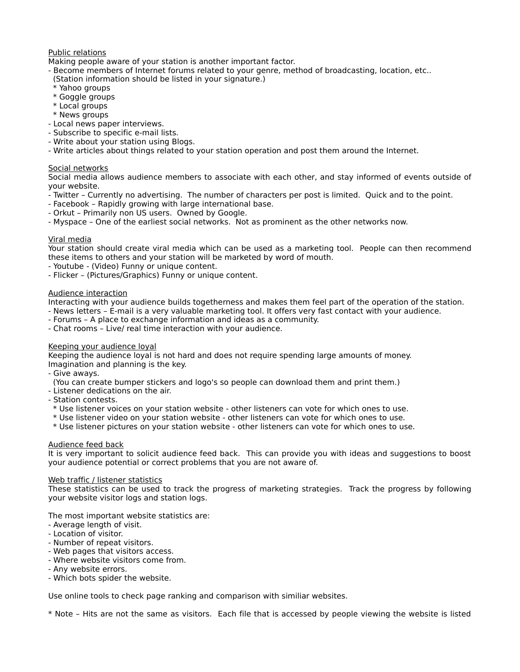# Public relations

Making people aware of your station is another important factor.

- Become members of Internet forums related to your genre, method of broadcasting, location, etc..
- (Station information should be listed in your signature.)
- \* Yahoo groups
- \* Goggle groups
- \* Local groups \* News groups
- Local news paper interviews.
- Subscribe to specific e-mail lists.
- Write about your station using Blogs.
- Write articles about things related to your station operation and post them around the Internet.

# Social networks

Social media allows audience members to associate with each other, and stay informed of events outside of your website.

- Twitter Currently no advertising. The number of characters per post is limited. Quick and to the point.
- Facebook Rapidly growing with large international base.
- Orkut Primarily non US users. Owned by Google.
- Myspace One of the earliest social networks. Not as prominent as the other networks now.

# Viral media

Your station should create viral media which can be used as a marketing tool. People can then recommend these items to others and your station will be marketed by word of mouth.

- Youtube (Video) Funny or unique content.
- Flicker (Pictures/Graphics) Funny or unique content.

# Audience interaction

Interacting with your audience builds togetherness and makes them feel part of the operation of the station.

- News letters E-mail is a very valuable marketing tool. It offers very fast contact with your audience.
- Forums A place to exchange information and ideas as a community.
- Chat rooms Live/ real time interaction with your audience.

#### Keeping your audience loyal

Keeping the audience loyal is not hard and does not require spending large amounts of money. Imagination and planning is the key.

- Give aways.

(You can create bumper stickers and logo's so people can download them and print them.)

- Listener dedications on the air.
- Station contests.
- \* Use listener voices on your station website other listeners can vote for which ones to use.
- \* Use listener video on your station website other listeners can vote for which ones to use.
- \* Use listener pictures on your station website other listeners can vote for which ones to use.

# Audience feed back

It is very important to solicit audience feed back. This can provide you with ideas and suggestions to boost your audience potential or correct problems that you are not aware of.

#### Web traffic / listener statistics

These statistics can be used to track the progress of marketing strategies. Track the progress by following your website visitor logs and station logs.

The most important website statistics are:

- Average length of visit.
- Location of visitor.
- Number of repeat visitors.
- Web pages that visitors access.
- Where website visitors come from.
- Any website errors.
- Which bots spider the website.

Use online tools to check page ranking and comparison with similiar websites.

\* Note – Hits are not the same as visitors. Each file that is accessed by people viewing the website is listed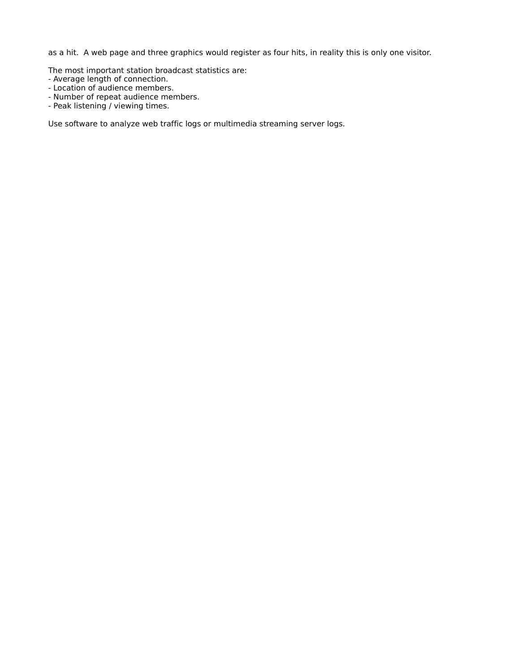as a hit. A web page and three graphics would register as four hits, in reality this is only one visitor.

The most important station broadcast statistics are:

- Average length of connection.
- Location of audience members.
- Number of repeat audience members.
- Peak listening / viewing times.

Use software to analyze web traffic logs or multimedia streaming server logs.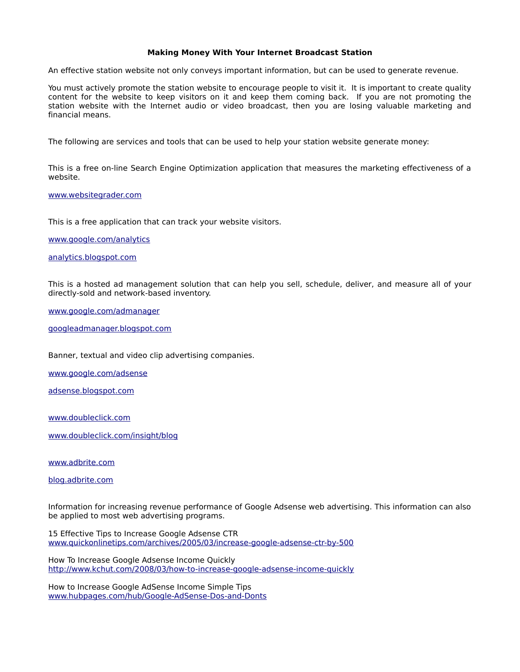# **Making Money With Your Internet Broadcast Station**

An effective station website not only conveys important information, but can be used to generate revenue.

You must actively promote the station website to encourage people to visit it. It is important to create quality content for the website to keep visitors on it and keep them coming back. If you are not promoting the station website with the Internet audio or video broadcast, then you are losing valuable marketing and financial means.

The following are services and tools that can be used to help your station website generate money:

This is a free on-line Search Engine Optimization application that measures the marketing effectiveness of a website.

# [www.websitegrader.com](http://websitegrader.com/)

This is a free application that can track your website visitors.

[www.google.com/analytics](http://www.google.com/analytics/)

[analytics.blogspot.com](http://analytics.blogspot.com/)

This is a hosted ad management solution that can help you sell, schedule, deliver, and measure all of your directly-sold and network-based inventory.

[www.google.com/admanager](https://www.google.com/admanager/)

[googleadmanager.blogspot.com](http://googleadmanager.blogspot.com/)

Banner, textual and video clip advertising companies.

[www.google.com/adsense](https://www.google.com/adsense/)

[adsense.blogspot.com](http://adsense.blogspot.com/)

[www.doubleclick.com](http://www.doubleclick.com/)

[www.doubleclick.com/insight/blog](http://www.doubleclick.com/insight/blog/)

[www.adbrite.com](http://www.adbrite.com/)

[blog.adbrite.com](http://blog.adbrite.com/)

Information for increasing revenue performance of Google Adsense web advertising. This information can also be applied to most web advertising programs.

15 Effective Tips to Increase Google Adsense CTR [www.quickonlinetips.com/archives/2005/03/increase-google-adsense-ctr-by-500](http://www.quickonlinetips.com/archives/2005/03/increase-google-adsense-ctr-by-500/)

How To Increase Google Adsense Income Quickly [http://www.kchut.com/2008/03/how-to-increase-google-adsense-income-quickly](http://www.kchut.com/2008/03/how-to-increase-google-adsense-income-quickly/)

How to Increase Google AdSense Income Simple Tips [www.hubpages.com/hub/Google-AdSense-Dos-and-Donts](http://hubpages.com/hub/Google-AdSense-Dos-and-Donts)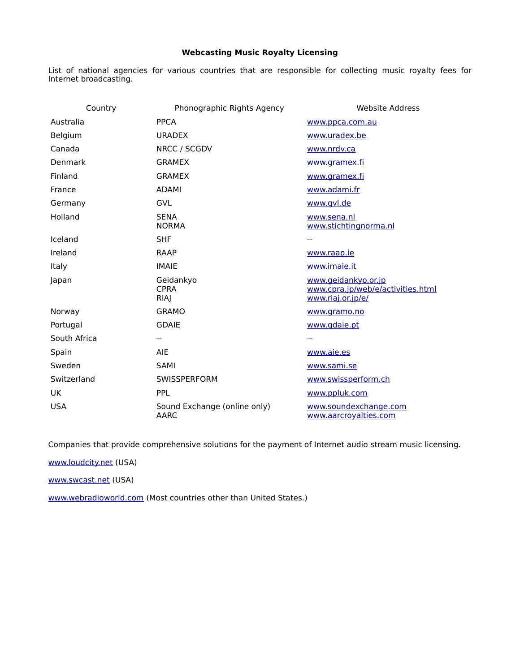# **Webcasting Music Royalty Licensing**

List of national agencies for various countries that are responsible for collecting music royalty fees for Internet broadcasting.

| Country      | Phonographic Rights Agency                  | <b>Website Address</b>                                                        |
|--------------|---------------------------------------------|-------------------------------------------------------------------------------|
| Australia    | <b>PPCA</b>                                 | www.ppca.com.au                                                               |
| Belgium      | <b>URADEX</b>                               | www.uradex.be                                                                 |
| Canada       | NRCC / SCGDV                                | www.nrdv.ca                                                                   |
| Denmark      | <b>GRAMEX</b>                               | www.gramex.fi                                                                 |
| Finland      | <b>GRAMEX</b>                               | www.gramex.fi                                                                 |
| France       | <b>ADAMI</b>                                | www.adami.fr                                                                  |
| Germany      | GVL                                         | www.gvl.de                                                                    |
| Holland      | <b>SENA</b><br><b>NORMA</b>                 | www.sena.nl<br>www.stichtingnorma.nl                                          |
| Iceland      | <b>SHF</b>                                  |                                                                               |
| Ireland      | <b>RAAP</b>                                 | www.raap.ie                                                                   |
| Italy        | <b>IMAIE</b>                                | www.imaie.it                                                                  |
| Japan        | Geidankyo<br><b>CPRA</b><br>RIAI            | www.geidankyo.or.jp<br>www.cpra.jp/web/e/activities.html<br>www.riaj.or.jp/e/ |
| Norway       | <b>GRAMO</b>                                | www.gramo.no                                                                  |
| Portugal     | <b>GDAIE</b>                                | www.gdaie.pt                                                                  |
| South Africa | $- -$                                       |                                                                               |
| Spain        | <b>AIE</b>                                  | www.aie.es                                                                    |
| Sweden       | <b>SAMI</b>                                 | www.sami.se                                                                   |
| Switzerland  | <b>SWISSPERFORM</b>                         | www.swissperform.ch                                                           |
| UK           | <b>PPI</b>                                  | www.ppluk.com                                                                 |
| <b>USA</b>   | Sound Exchange (online only)<br><b>AARC</b> | www.soundexchange.com<br>www.aarcroyalties.com                                |

Companies that provide comprehensive solutions for the payment of Internet audio stream music licensing.

[www.loudcity.net](http://www.loudcity.net/) (USA)

[www.swcast.net](http://www.swcast.net/) (USA)

[www.webradioworld.com](http://www.webradioworld.com/) (Most countries other than United States.)